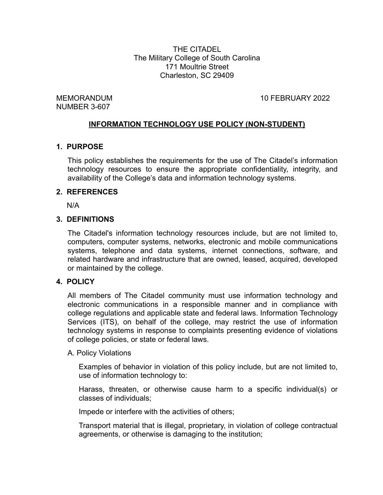THE CITADEL The Military College of South Carolina 171 Moultrie Street Charleston, SC 29409

NUMBER 3-607

MEMORANDUM 10 FEBRUARY 2022

#### **INFORMATION TECHNOLOGY USE POLICY (NON-STUDENT)**

#### **1. PURPOSE**

This policy establishes the requirements for the use of The Citadel's information technology resources to ensure the appropriate confidentiality, integrity, and availability of the College's data and information technology systems.

#### **2. REFERENCES**

N/A

#### **3. DEFINITIONS**

The Citadel's information technology resources include, but are not limited to, computers, computer systems, networks, electronic and mobile communications systems, telephone and data systems, internet connections, software, and related hardware and infrastructure that are owned, leased, acquired, developed or maintained by the college.

#### **4. POLICY**

All members of The Citadel community must use information technology and electronic communications in a responsible manner and in compliance with college regulations and applicable state and federal laws. Information Technology Services (ITS), on behalf of the college, may restrict the use of information technology systems in response to complaints presenting evidence of violations of college policies, or state or federal laws.

#### A. Policy Violations

Examples of behavior in violation of this policy include, but are not limited to, use of information technology to:

Harass, threaten, or otherwise cause harm to a specific individual(s) or classes of individuals;

Impede or interfere with the activities of others;

Transport material that is illegal, proprietary, in violation of college contractual agreements, or otherwise is damaging to the institution;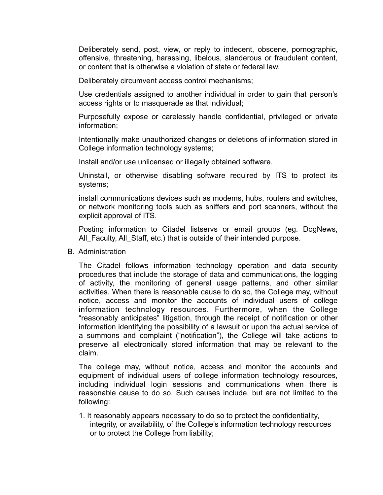Deliberately send, post, view, or reply to indecent, obscene, pornographic, offensive, threatening, harassing, libelous, slanderous or fraudulent content, or content that is otherwise a violation of state or federal law.

Deliberately circumvent access control mechanisms;

Use credentials assigned to another individual in order to gain that person's access rights or to masquerade as that individual;

Purposefully expose or carelessly handle confidential, privileged or private information;

Intentionally make unauthorized changes or deletions of information stored in College information technology systems;

Install and/or use unlicensed or illegally obtained software.

Uninstall, or otherwise disabling software required by ITS to protect its systems;

install communications devices such as modems, hubs, routers and switches, or network monitoring tools such as sniffers and port scanners, without the explicit approval of ITS.

Posting information to Citadel listservs or email groups (eg. DogNews, All Faculty, All Staff, etc.) that is outside of their intended purpose.

B. Administration

The Citadel follows information technology operation and data security procedures that include the storage of data and communications, the logging of activity, the monitoring of general usage patterns, and other similar activities. When there is reasonable cause to do so, the College may, without notice, access and monitor the accounts of individual users of college information technology resources. Furthermore, when the College "reasonably anticipates" litigation, through the receipt of notification or other information identifying the possibility of a lawsuit or upon the actual service of a summons and complaint ("notification"), the College will take actions to preserve all electronically stored information that may be relevant to the claim.

The college may, without notice, access and monitor the accounts and equipment of individual users of college information technology resources, including individual login sessions and communications when there is reasonable cause to do so. Such causes include, but are not limited to the following:

1. It reasonably appears necessary to do so to protect the confidentiality, integrity, or availability, of the College's information technology resources or to protect the College from liability;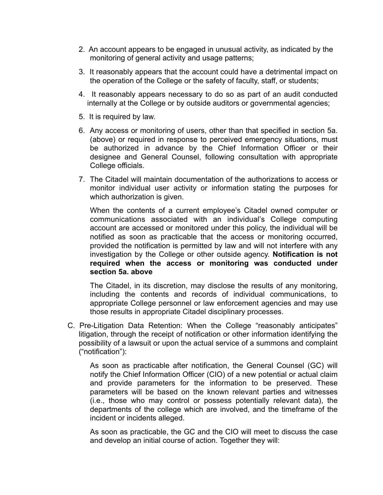- 2. An account appears to be engaged in unusual activity, as indicated by the monitoring of general activity and usage patterns;
- 3. It reasonably appears that the account could have a detrimental impact on the operation of the College or the safety of faculty, staff, or students;
- 4. It reasonably appears necessary to do so as part of an audit conducted internally at the College or by outside auditors or governmental agencies;
- 5. It is required by law.
- 6. Any access or monitoring of users, other than that specified in section 5a. (above) or required in response to perceived emergency situations, must be authorized in advance by the Chief Information Officer or their designee and General Counsel, following consultation with appropriate College officials.
- 7. The Citadel will maintain documentation of the authorizations to access or monitor individual user activity or information stating the purposes for which authorization is given.

When the contents of a current employee's Citadel owned computer or communications associated with an individual's College computing account are accessed or monitored under this policy, the individual will be notified as soon as practicable that the access or monitoring occurred, provided the notification is permitted by law and will not interfere with any investigation by the College or other outside agency. **Notification is not required when the access or monitoring was conducted under section 5a. above**

The Citadel, in its discretion, may disclose the results of any monitoring, including the contents and records of individual communications, to appropriate College personnel or law enforcement agencies and may use those results in appropriate Citadel disciplinary processes.

C. Pre-Litigation Data Retention: When the College "reasonably anticipates" litigation, through the receipt of notification or other information identifying the possibility of a lawsuit or upon the actual service of a summons and complaint ("notification"):

As soon as practicable after notification, the General Counsel (GC) will notify the Chief Information Officer (CIO) of a new potential or actual claim and provide parameters for the information to be preserved. These parameters will be based on the known relevant parties and witnesses (i.e., those who may control or possess potentially relevant data), the departments of the college which are involved, and the timeframe of the incident or incidents alleged.

As soon as practicable, the GC and the CIO will meet to discuss the case and develop an initial course of action. Together they will: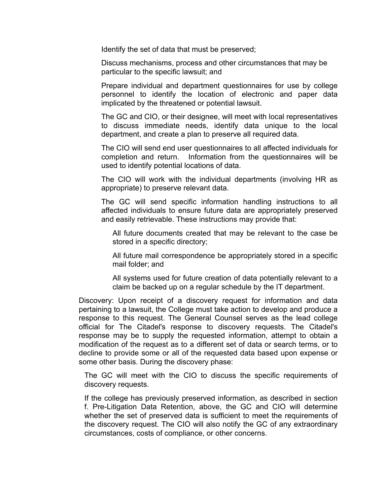Identify the set of data that must be preserved;

Discuss mechanisms, process and other circumstances that may be particular to the specific lawsuit; and

Prepare individual and department questionnaires for use by college personnel to identify the location of electronic and paper data implicated by the threatened or potential lawsuit.

The GC and CIO, or their designee, will meet with local representatives to discuss immediate needs, identify data unique to the local department, and create a plan to preserve all required data.

The CIO will send end user questionnaires to all affected individuals for completion and return. Information from the questionnaires will be used to identify potential locations of data.

The CIO will work with the individual departments (involving HR as appropriate) to preserve relevant data.

The GC will send specific information handling instructions to all affected individuals to ensure future data are appropriately preserved and easily retrievable. These instructions may provide that:

All future documents created that may be relevant to the case be stored in a specific directory;

All future mail correspondence be appropriately stored in a specific mail folder; and

All systems used for future creation of data potentially relevant to a claim be backed up on a regular schedule by the IT department.

Discovery: Upon receipt of a discovery request for information and data pertaining to a lawsuit, the College must take action to develop and produce a response to this request. The General Counsel serves as the lead college official for The Citadel's response to discovery requests. The Citadel's response may be to supply the requested information, attempt to obtain a modification of the request as to a different set of data or search terms, or to decline to provide some or all of the requested data based upon expense or some other basis. During the discovery phase:

The GC will meet with the CIO to discuss the specific requirements of discovery requests.

If the college has previously preserved information, as described in section f. Pre-Litigation Data Retention, above, the GC and CIO will determine whether the set of preserved data is sufficient to meet the requirements of the discovery request. The CIO will also notify the GC of any extraordinary circumstances, costs of compliance, or other concerns.